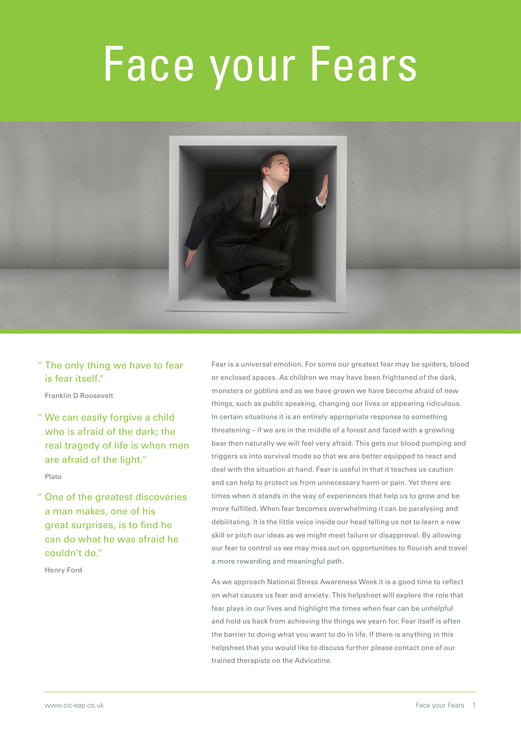# Face your Fears



" The only thing we have to fear is fear itself."

Franklin D Roosevelt

" We can easily forgive a child who is afraid of the dark; the real tragedy of life is when men are afraid of the light."

Plato

" One of the greatest discoveries a man makes, one of his great surprises, is to find he can do what he was afraid he couldn't do."

Henry Ford

Fear is a universal emotion. For some our greatest fear may be spiders, blood or enclosed spaces. As children we may have been frightened of the dark, monsters or goblins and as we have grown we have become afraid of new things, such as public speaking, changing our lives or appearing ridiculous. In certain situations it is an entirely appropriate response to something threatening – if we are in the middle of a forest and faced with a growling bear then naturally we will feel very afraid. This gets our blood pumping and triggers us into survival mode so that we are better equipped to react and deal with the situation at hand. Fear is useful in that it teaches us caution and can help to protect us from unnecessary harm or pain. Yet there are times when it stands in the way of experiences that help us to grow and be more fulfilled. When fear becomes overwhelming it can be paralysing and debilitating. It is the little voice inside our head telling us not to learn a new skill or pitch our ideas as we might meet failure or disapproval. By allowing our fear to control us we may miss out on opportunities to flourish and travel a more rewarding and meaningful path.

As we approach National Stress Awareness Week it is a good time to reflect on what causes us fear and anxiety. This helpsheet will explore the role that fear plays in our lives and highlight the times when fear can be unhelpful and hold us back from achieving the things we yearn for. Fear itself is often the barrier to doing what you want to do in life. If there is anything in this helpsheet that you would like to discuss further please contact one of our trained therapists on the Adviceline.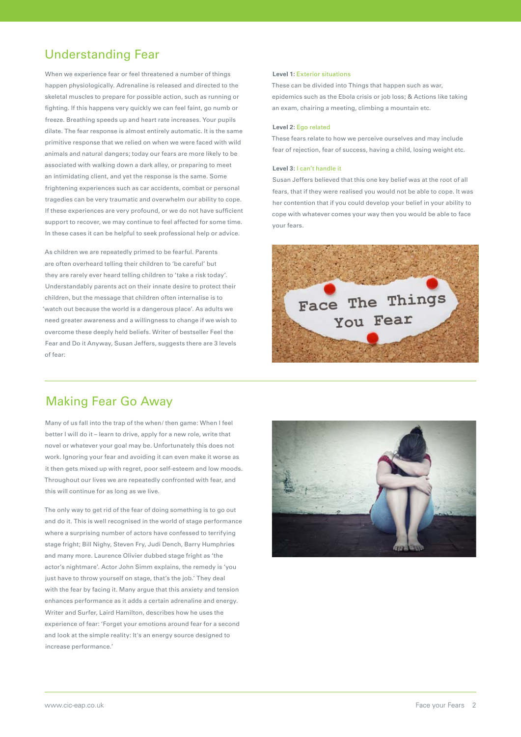## Understanding Fear

When we experience fear or feel threatened a number of things happen physiologically. Adrenaline is released and directed to the skeletal muscles to prepare for possible action, such as running or fighting. If this happens very quickly we can feel faint, go numb or freeze. Breathing speeds up and heart rate increases. Your pupils dilate. The fear response is almost entirely automatic. It is the same primitive response that we relied on when we were faced with wild animals and natural dangers; today our fears are more likely to be associated with walking down a dark alley, or preparing to meet an intimidating client, and yet the response is the same. Some frightening experiences such as car accidents, combat or personal tragedies can be very traumatic and overwhelm our ability to cope. If these experiences are very profound, or we do not have sufficient support to recover, we may continue to feel affected for some time. In these cases it can be helpful to seek professional help or advice.

As children we are repeatedly primed to be fearful. Parents are often overheard telling their children to 'be careful' but they are rarely ever heard telling children to 'take a risk today'. Understandably parents act on their innate desire to protect their children, but the message that children often internalise is to 'watch out because the world is a dangerous place'. As adults we need greater awareness and a willingness to change if we wish to overcome these deeply held beliefs. Writer of bestseller Feel the Fear and Do it Anyway, Susan Jeffers, suggests there are 3 levels of fear:

#### **Level 1:** Exterior situations

These can be divided into Things that happen such as war, epidemics such as the Ebola crisis or job loss; & Actions like taking an exam, chairing a meeting, climbing a mountain etc.

#### **Level 2:** Ego related

These fears relate to how we perceive ourselves and may include fear of rejection, fear of success, having a child, losing weight etc.

#### **Level 3:** I can't handle it

Susan Jeffers believed that this one key belief was at the root of all fears, that if they were realised you would not be able to cope. It was her contention that if you could develop your belief in your ability to cope with whatever comes your way then you would be able to face your fears.



## Making Fear Go Away

Many of us fall into the trap of the when/ then game: When I feel better I will do it – learn to drive, apply for a new role, write that novel or whatever your goal may be. Unfortunately this does not work. Ignoring your fear and avoiding it can even make it worse as it then gets mixed up with regret, poor self-esteem and low moods. Throughout our lives we are repeatedly confronted with fear, and this will continue for as long as we live.

The only way to get rid of the fear of doing something is to go out and do it. This is well recognised in the world of stage performance where a surprising number of actors have confessed to terrifying stage fright; Bill Nighy, Steven Fry, Judi Dench, Barry Humphries and many more. Laurence Olivier dubbed stage fright as 'the actor's nightmare'. Actor John Simm explains, the remedy is 'you just have to throw yourself on stage, that's the job.' They deal with the fear by facing it. Many argue that this anxiety and tension enhances performance as it adds a certain adrenaline and energy. Writer and Surfer, Laird Hamilton, describes how he uses the experience of fear: 'Forget your emotions around fear for a second and look at the simple reality: It's an energy source designed to increase performance.'

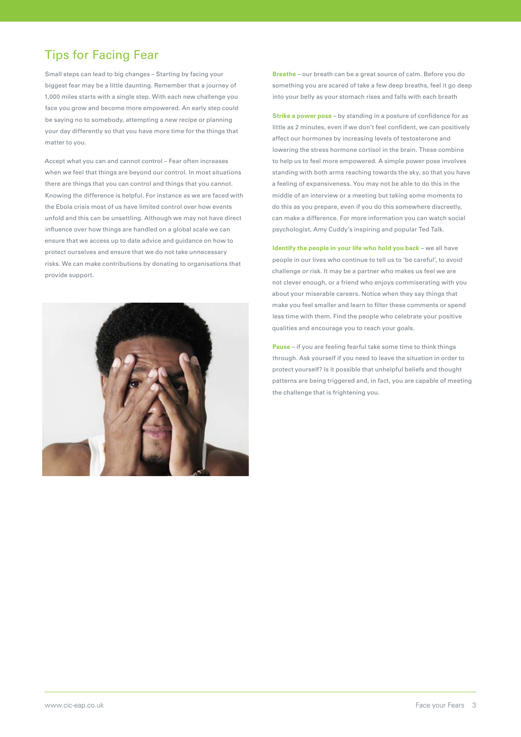## Tips for Facing Fear

Small steps can lead to big changes – Starting by facing your biggest fear may be a little daunting. Remember that a journey of 1,000 miles starts with a single step. With each new challenge you face you grow and become more empowered. An early step could be saying no to somebody, attempting a new recipe or planning your day differently so that you have more time for the things that matter to you.

Accept what you can and cannot control – Fear often increases when we feel that things are beyond our control. In most situations there are things that you can control and things that you cannot. Knowing the difference is helpful. For instance as we are faced with the Ebola crisis most of us have limited control over how events unfold and this can be unsettling. Although we may not have direct influence over how things are handled on a global scale we can ensure that we access up to date advice and guidance on how to protect ourselves and ensure that we do not take unnecessary risks. We can make contributions by donating to organisations that provide support.



**Breathe** – our breath can be a great source of calm. Before you do something you are scared of take a few deep breaths, feel it go deep into your belly as your stomach rises and falls with each breath

**Strike a power pose** – by standing in a posture of confidence for as little as 2 minutes, even if we don't feel confident, we can positively affect our hormones by increasing levels of testosterone and lowering the stress hormone cortisol in the brain. These combine to help us to feel more empowered. A simple power pose involves standing with both arms reaching towards the sky, so that you have a feeling of expansiveness. You may not be able to do this in the middle of an interview or a meeting but taking some moments to do this as you prepare, even if you do this somewhere discreetly, can make a difference. For more information you can watch social psychologist, Amy Cuddy's inspiring and popular Ted Talk.

**Identify the people in your life who hold you back** – we all have people in our lives who continue to tell us to 'be careful', to avoid challenge or risk. It may be a partner who makes us feel we are not clever enough, or a friend who enjoys commiserating with you about your miserable careers. Notice when they say things that make you feel smaller and learn to filter these comments or spend less time with them. Find the people who celebrate your positive qualities and encourage you to reach your goals.

**Pause** – if you are feeling fearful take some time to think things through. Ask yourself if you need to leave the situation in order to protect yourself? Is it possible that unhelpful beliefs and thought patterns are being triggered and, in fact, you are capable of meeting the challenge that is frightening you.